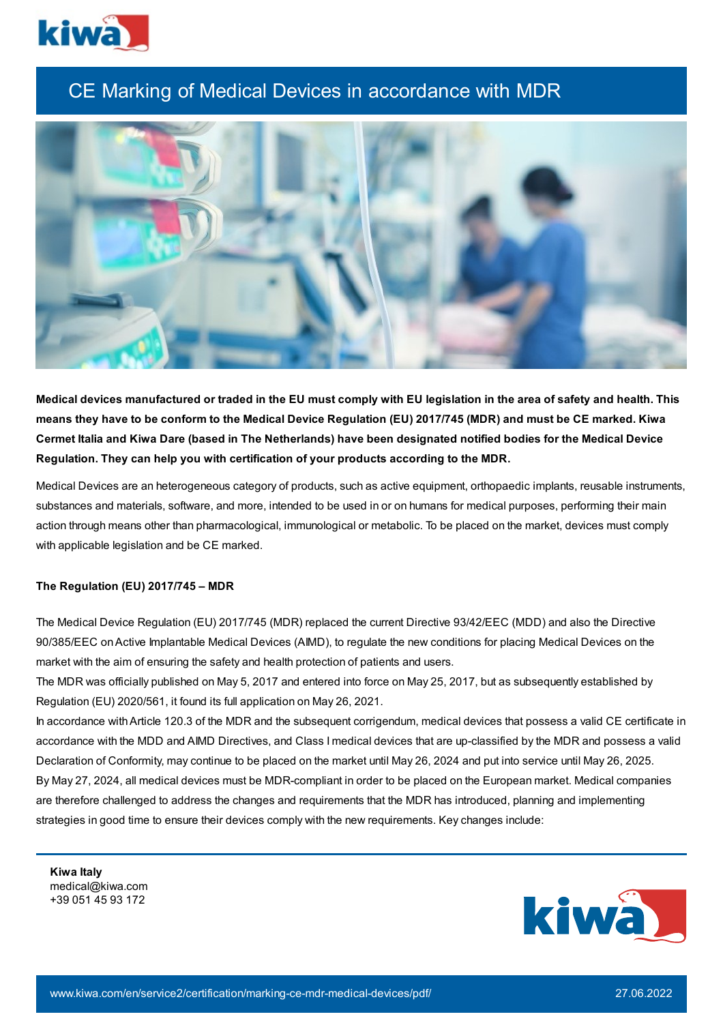

## CE Marking of Medical Devices in accordance with MDR



Medical devices manufactured or traded in the EU must comply with EU legislation in the area of safety and health. This means they have to be conform to the Medical Device Regulation (EU) 2017/745 (MDR) and must be CE marked. Kiwa Cermet Italia and Kiwa Dare (based in The Netherlands) have been designated notified bodies for the Medical Device **Regulation. They can help you with certification of your products according to the MDR.**

Medical Devices are an heterogeneous category of products, such as active equipment, orthopaedic implants, reusable instruments, substances and materials, software, and more, intended to be used in or on humans for medical purposes, performing their main action through means other than pharmacological, immunological or metabolic. To be placed on the market, devices must comply with applicable legislation and be CE marked.

## **The Regulation (EU) 2017/745 – MDR**

The Medical Device Regulation (EU) 2017/745 (MDR) replaced the current Directive 93/42/EEC (MDD) and also the Directive 90/385/EEC onActive Implantable Medical Devices (AIMD), to regulate the new conditions for placing Medical Devices on the market with the aim of ensuring the safety and health protection of patients and users.

The MDR was officially published on May 5, 2017 and entered into force on May 25, 2017, but as subsequently established by Regulation (EU) 2020/561, it found its full application on May 26, 2021.

In accordance withArticle 120.3 of the MDR and the subsequent corrigendum, medical devices that possess a valid CE certificate in accordance with the MDD and AIMD Directives, and Class I medical devices that are up-classified by the MDR and possess a valid Declaration of Conformity, may continue to be placed on the market until May 26, 2024 and put into service until May 26, 2025. By May 27, 2024, all medical devices must be MDR-compliant in order to be placed on the European market. Medical companies are therefore challenged to address the changes and requirements that the MDR has introduced, planning and implementing strategies in good time to ensure their devices comply with the new requirements. Key changes include:

**Kiwa Italy** medical@kiwa.com +39 051 45 93 172

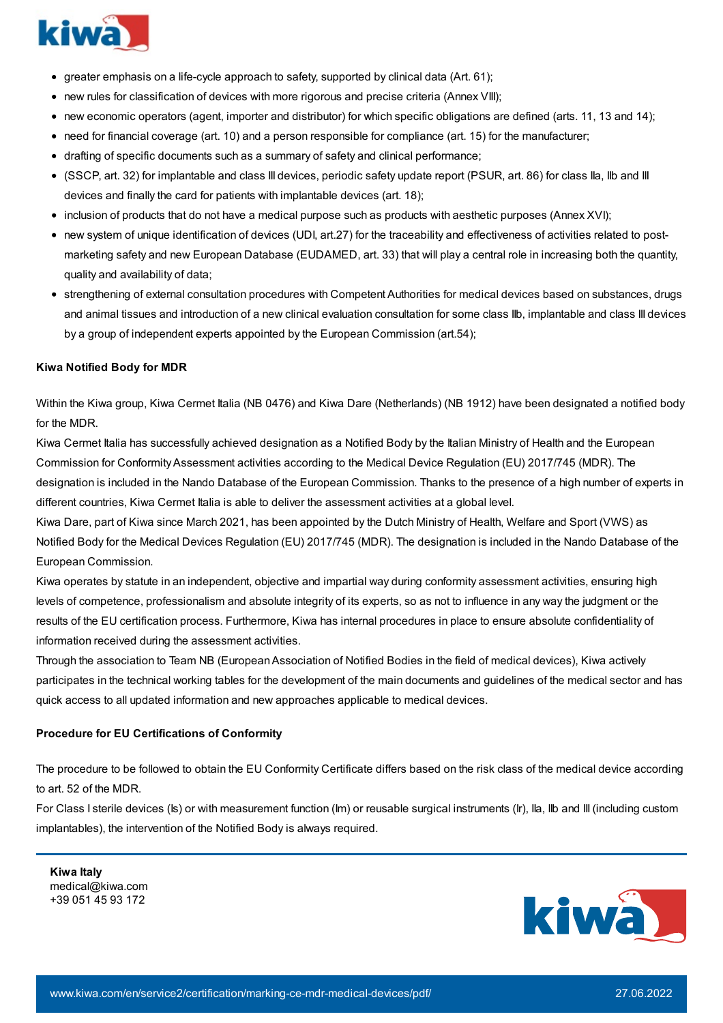

- $\bullet$  greater emphasis on a life-cycle approach to safety, supported by clinical data (Art. 61);
- new rules for classification of devices with more rigorous and precise criteria (Annex VIII);
- new economic operators (agent, importer and distributor) for which specific obligations are defined (arts. 11, 13 and 14);
- need for financial coverage (art. 10) and a person responsible for compliance (art. 15) for the manufacturer;
- drafting of specific documents such as a summary of safety and clinical performance;
- (SSCP, art. 32) for implantable and class III devices, periodic safety update report (PSUR, art. 86) for class IIa, IIb and III devices and finally the card for patients with implantable devices (art. 18);
- inclusion of products that do not have a medical purpose such as products with aesthetic purposes (Annex XVI);
- new system of unique identification of devices (UDI, art.27) for the traceability and effectiveness of activities related to postmarketing safety and new European Database (EUDAMED, art. 33) that will play a central role in increasing both the quantity, quality and availability of data;
- strengthening of external consultation procedures with Competent Authorities for medical devices based on substances, drugs and animal tissues and introduction of a new clinical evaluation consultation for some class IIb, implantable and class III devices by a group of independent experts appointed by the European Commission (art.54);

## **Kiwa Notified Body for MDR**

Within the Kiwa group, Kiwa Cermet Italia (NB 0476) and Kiwa Dare (Netherlands) (NB 1912) have been designated a notified body for the MDR.

Kiwa Cermet Italia has successfully achieved designation as a Notified Body by the Italian Ministry of Health and the European Commission for ConformityAssessment activities according to the Medical Device Regulation (EU) 2017/745 (MDR). The designation is included in the Nando Database of the European Commission. Thanks to the presence of a high number of experts in different countries, Kiwa Cermet Italia is able to deliver the assessment activities at a global level.

Kiwa Dare, part of Kiwa since March 2021, has been appointed by the Dutch Ministry of Health, Welfare and Sport (VWS) as Notified Body for the Medical Devices Regulation (EU) 2017/745 (MDR). The designation is included in the Nando Database of the European Commission.

Kiwa operates by statute in an independent, objective and impartial way during conformity assessment activities, ensuring high levels of competence, professionalism and absolute integrity of its experts, so as not to influence in any way the judgment or the results of the EU certification process. Furthermore, Kiwa has internal procedures in place to ensure absolute confidentiality of information received during the assessment activities.

Through the association to Team NB (EuropeanAssociation of Notified Bodies in the field of medical devices), Kiwa actively participates in the technical working tables for the development of the main documents and guidelines of the medical sector and has quick access to all updated information and new approaches applicable to medical devices.

## **Procedure for EU Certifications of Conformity**

The procedure to be followed to obtain the EU Conformity Certificate differs based on the risk class of the medical device according to art. 52 of the MDR.

For Class I sterile devices (Is) or with measurement function (Im) or reusable surgical instruments (Ir), IIa, IIb and III (including custom implantables), the intervention of the Notified Body is always required.

**Kiwa Italy** medical@kiwa.com +39 051 45 93 172